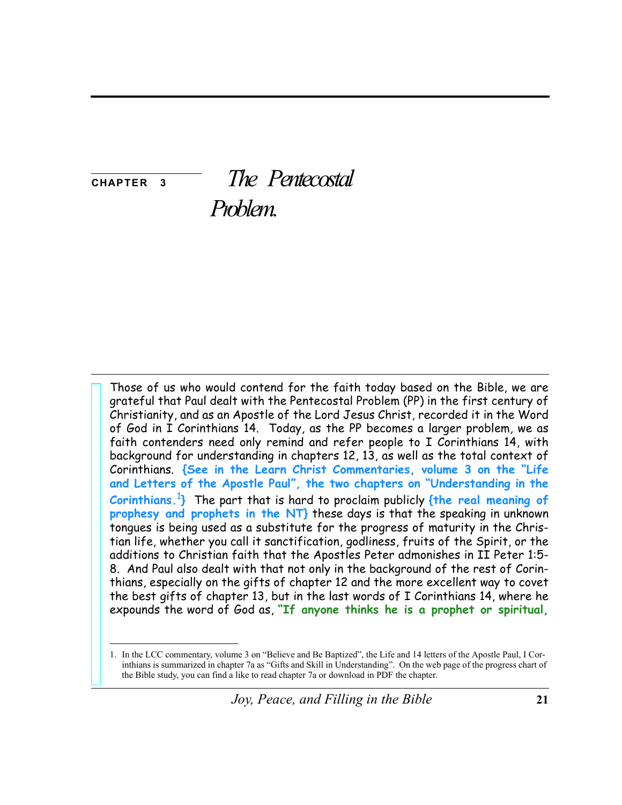**CHAPTER** 3

# The Pentecostal

Problem.

Those of us who would contend for the faith today based on the Bible, we are grateful that Paul dealt with the Pentecostal Problem (PP) in the first century of Christianity, and as an Apostle of the Lord Jesus Christ, recorded it in the Word of God in I Corinthians 14. Today, as the PP becomes a larger problem, we as faith contenders need only remind and refer people to I Corinthians 14, with background for understanding in chapters 12, 13, as well as the total context of Corinthians. {See in the Learn Christ Commentaries, volume 3 on the "Life and Letters of the Apostle Paul", the two chapters on "Understanding in the Corinthians.<sup>1</sup>} The part that is hard to proclaim publicly  $\{$ the real meaning of prophesy and prophets in the NT} these days is that the speaking in unknown tongues is being used as a substitute for the progress of maturity in the Christian life, whether you call it sanctification, godliness, fruits of the Spirit, or the additions to Christian faith that the Apostles Peter admonishes in II Peter 1:5-8. And Paul also dealt with that not only in the background of the rest of Corinthians, especially on the gifts of chapter 12 and the more excellent way to covet the best gifts of chapter 13, but in the last words of I Corinthians 14, where he expounds the word of God as, "If anyone thinks he is a prophet or spiritual,

<sup>1.</sup> In the LCC commentary, volume 3 on "Believe and Be Baptized", the Life and 14 letters of the Apostle Paul, I Corinthians is summarized in chapter 7a as "Gifts and Skill in Understanding". On the web page of the progress chart of the Bible study, you can find a like to read chapter 7a or download in PDF the chapter.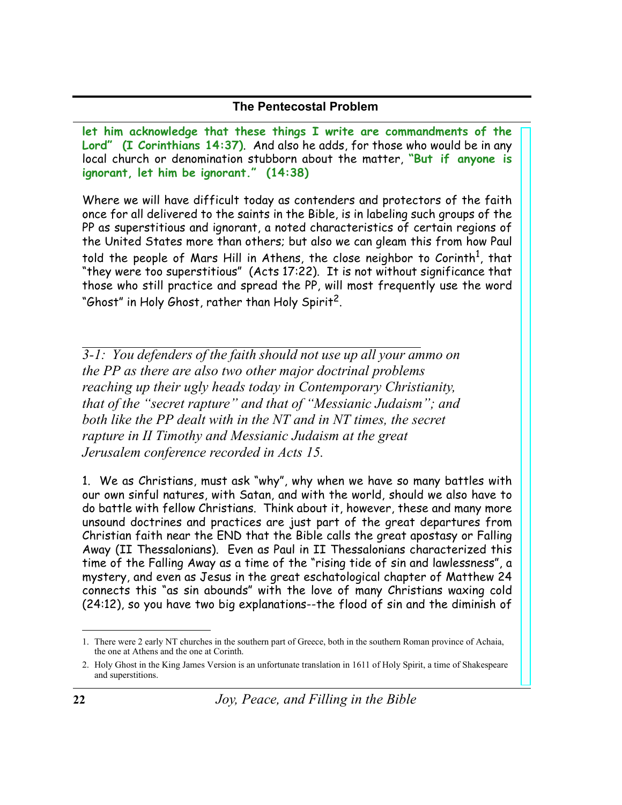let him acknowledge that these things I write are commandments of the Lord" (I Corinthians 14:37). And also he adds, for those who would be in any local church or denomination stubborn about the matter, "But if anyone is ignorant, let him be ignorant." (14:38)

Where we will have difficult today as contenders and protectors of the faith once for all delivered to the saints in the Bible, is in labeling such groups of the PP as superstitious and ignorant, a noted characteristics of certain regions of the United States more than others; but also we can gleam this from how Paul told the people of Mars Hill in Athens, the close neighbor to Corinth<sup>1</sup>, that "they were too superstitious" (Acts 17:22). It is not without significance that those who still practice and spread the PP, will most frequently use the word "Ghost" in Holy Ghost, rather than Holy Spirit<sup>2</sup>.

 $\overline{3-1}$ : You defenders of the faith should not use up all your ammo on the PP as there are also two other major doctrinal problems reaching up their ugly heads today in Contemporary Christianity, that of the "secret rapture" and that of "Messianic Judaism"; and both like the PP dealt with in the NT and in NT times, the secret rapture in II Timothy and Messianic Judaism at the great Jerusalem conference recorded in Acts 15.

1. We as Christians, must ask "why", why when we have so many battles with our own sinful natures, with Satan, and with the world, should we also have to do battle with fellow Christians. Think about it, however, these and many more unsound doctrines and practices are just part of the great departures from Christian faith near the END that the Bible calls the great apostasy or Falling Away (II Thessalonians). Even as Paul in II Thessalonians characterized this time of the Falling Away as a time of the "rising tide of sin and lawlessness", a mystery, and even as Jesus in the great eschatological chapter of Matthew 24 connects this "as sin abounds" with the love of many Christians waxing cold (24:12), so you have two big explanations--the flood of sin and the diminish of

<sup>1.</sup> There were 2 early NT churches in the southern part of Greece, both in the southern Roman province of Achaia, the one at Athens and the one at Corinth.

<sup>2.</sup> Holy Ghost in the King James Version is an unfortunate translation in 1611 of Holy Spirit, a time of Shakespeare and superstitions.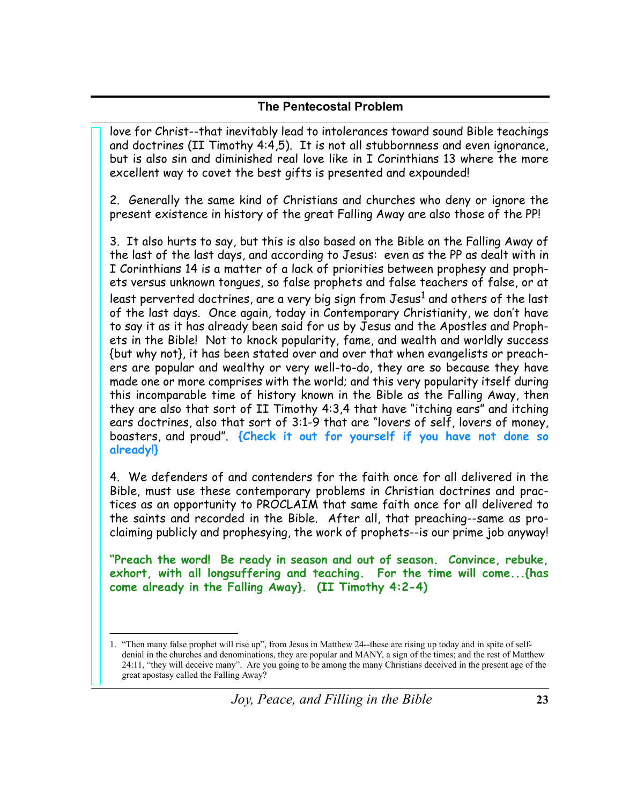love for Christ--that inevitably lead to intolerances toward sound Bible teachings and doctrines (II Timothy 4:4,5). It is not all stubbornness and even ignorance, but is also sin and diminished real love like in I Corinthians 13 where the more excellent way to covet the best gifts is presented and expounded!

2. Generally the same kind of Christians and churches who deny or ignore the present existence in history of the great Falling Away are also those of the PP!

3. It also hurts to say, but this is also based on the Bible on the Falling Away of the last of the last days, and according to Jesus: even as the PP as dealt with in I Corinthians 14 is a matter of a lack of priorities between prophesy and prophets versus unknown tongues, so false prophets and false teachers of false, or at least perverted doctrines, are a very big sign from Jesus<sup>1</sup> and others of the last of the last days. Once again, today in Contemporary Christianity, we don't have to say it as it has already been said for us by Jesus and the Apostles and Prophets in the Bible! Not to knock popularity, fame, and wealth and worldly success {but why not}, it has been stated over and over that when evangelists or preachers are popular and wealthy or very well-to-do, they are so because they have made one or more comprises with the world; and this very popularity itself during this incomparable time of history known in the Bible as the Falling Away, then they are also that sort of II Timothy 4:3,4 that have "itching ears" and itching ears doctrines, also that sort of 3:1-9 that are "lovers of self, lovers of money, boasters, and proud". {Check it out for yourself if you have not done so already!}

4. We defenders of and contenders for the faith once for all delivered in the Bible, must use these contemporary problems in Christian doctrines and practices as an opportunity to PROCLAIM that same faith once for all delivered to the saints and recorded in the Bible. After all, that preaching--same as proclaiming publicly and prophesying, the work of prophets--is our prime job anyway!

"Preach the word! Be ready in season and out of season. Convince, rebuke, exhort, with all longsuffering and teaching. For the time will come...{has come already in the Falling Away}. (II Timothy 4:2-4)

<sup>1. &</sup>quot;Then many false prophet will rise up", from Jesus in Matthew 24--these are rising up today and in spite of selfdenial in the churches and denominations, they are popular and MANY, a sign of the times; and the rest of Matthew 24:11, "they will deceive many". Are you going to be among the many Christians deceived in the present age of the great apostasy called the Falling Away?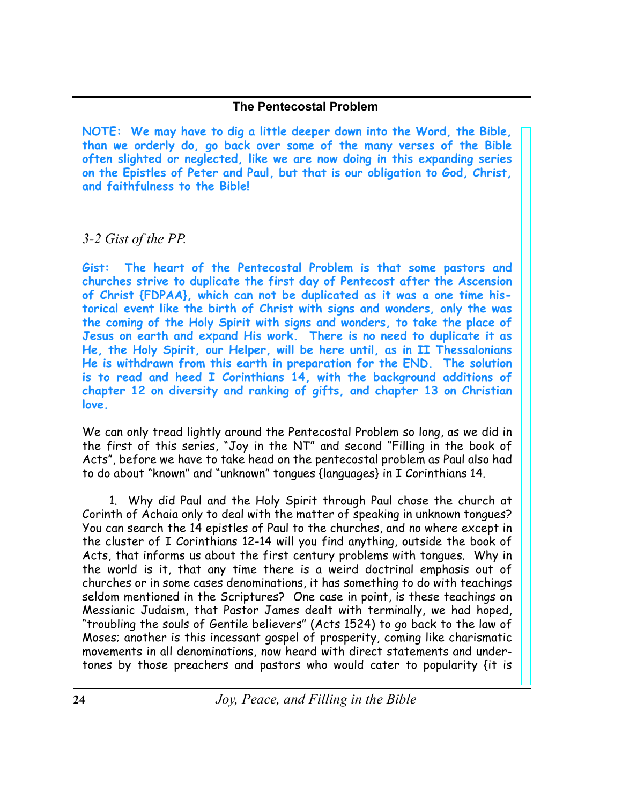NOTE: We may have to dig a little deeper down into the Word, the Bible, than we orderly do, go back over some of the many verses of the Bible often slighted or neglected, like we are now doing in this expanding series on the Epistles of Peter and Paul, but that is our obligation to God, Christ, and faithfulness to the Bible!

# 3-2 Gist of the PP.

Gist: The heart of the Pentecostal Problem is that some pastors and churches strive to duplicate the first day of Pentecost after the Ascension of Christ {FDPAA}, which can not be duplicated as it was a one time historical event like the birth of Christ with signs and wonders, only the was the coming of the Holy Spirit with signs and wonders, to take the place of Jesus on earth and expand His work. There is no need to duplicate it as He, the Holy Spirit, our Helper, will be here until, as in II Thessalonians He is withdrawn from this earth in preparation for the END. The solution is to read and heed I Corinthians 14, with the background additions of chapter 12 on diversity and ranking of gifts, and chapter 13 on Christian love.

We can only tread lightly around the Pentecostal Problem so long, as we did in the first of this series, "Joy in the NT" and second "Filling in the book of Acts", before we have to take head on the pentecostal problem as Paul also had to do about "known" and "unknown" tongues {languages} in I Corinthians 14.

1. Why did Paul and the Holy Spirit through Paul chose the church at Corinth of Achaia only to deal with the matter of speaking in unknown tongues? You can search the 14 epistles of Paul to the churches, and no where except in the cluster of I Corinthians 12-14 will you find anything, outside the book of Acts, that informs us about the first century problems with tongues. Why in the world is it, that any time there is a weird doctrinal emphasis out of churches or in some cases denominations, it has something to do with teachings seldom mentioned in the Scriptures? One case in point, is these teachings on Messianic Judaism, that Pastor James dealt with terminally, we had hoped, "troubling the souls of Gentile believers" (Acts 1524) to go back to the law of Moses; another is this incessant gospel of prosperity, coming like charismatic movements in all denominations, now heard with direct statements and undertones by those preachers and pastors who would cater to popularity {it is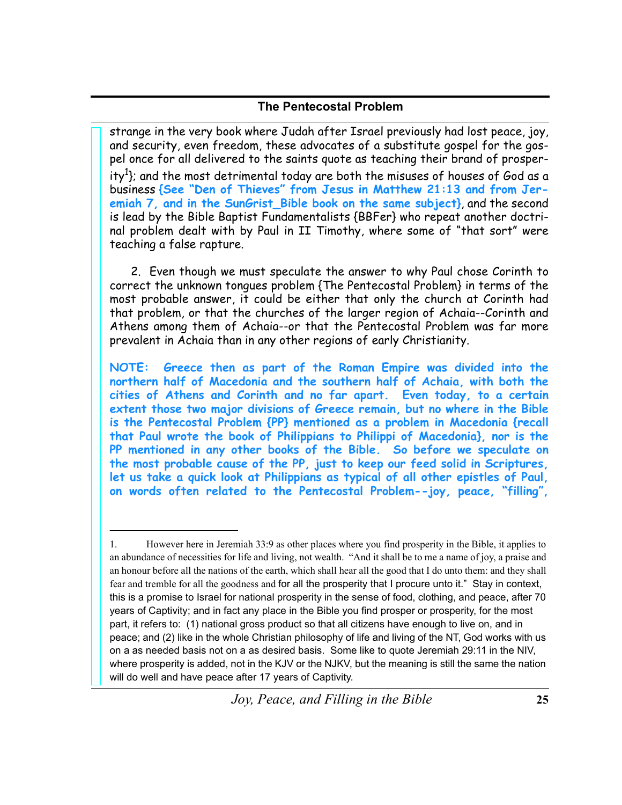strange in the very book where Judah after Israel previously had lost peace, joy, and security, even freedom, these advocates of a substitute gospel for the gospel once for all delivered to the saints quote as teaching their brand of prosperity<sup>1</sup>}; and the most detrimental today are both the misuses of houses of God as a business {See "Den of Thieves" from Jesus in Matthew 21:13 and from Jeremiah 7, and in the SunGrist\_Bible book on the same subject}, and the second is lead by the Bible Baptist Fundamentalists {BBFer} who repeat another doctrinal problem dealt with by Paul in II Timothy, where some of "that sort" were teaching a false rapture.

2. Even though we must speculate the answer to why Paul chose Corinth to correct the unknown tongues problem {The Pentecostal Problem} in terms of the most probable answer, it could be either that only the church at Corinth had that problem, or that the churches of the larger region of Achaia--Corinth and Athens among them of Achaia--or that the Pentecostal Problem was far more prevalent in Achaia than in any other regions of early Christianity.

Greece then as part of the Roman Empire was divided into the **NOTE:** northern half of Macedonia and the southern half of Achaia, with both the cities of Athens and Corinth and no far apart. Even today, to a certain extent those two major divisions of Greece remain, but no where in the Bible is the Pentecostal Problem {PP} mentioned as a problem in Macedonia {recall that Paul wrote the book of Philippians to Philippi of Macedonia}, nor is the PP mentioned in any other books of the Bible. So before we speculate on the most probable cause of the PP, just to keep our feed solid in Scriptures, let us take a quick look at Philippians as typical of all other epistles of Paul, on words often related to the Pentecostal Problem--joy, peace, "filling",

 $1.$ However here in Jeremiah 33:9 as other places where you find prosperity in the Bible, it applies to an abundance of necessities for life and living, not wealth. "And it shall be to me a name of joy, a praise and an honour before all the nations of the earth, which shall hear all the good that I do unto them: and they shall fear and tremble for all the goodness and for all the prosperity that I procure unto it." Stay in context, this is a promise to Israel for national prosperity in the sense of food, clothing, and peace, after 70 years of Captivity; and in fact any place in the Bible you find prosper or prosperity, for the most part, it refers to: (1) national gross product so that all citizens have enough to live on, and in peace; and (2) like in the whole Christian philosophy of life and living of the NT, God works with us on a as needed basis not on a as desired basis. Some like to quote Jeremiah 29:11 in the NIV, where prosperity is added, not in the KJV or the NJKV, but the meaning is still the same the nation will do well and have peace after 17 years of Captivity.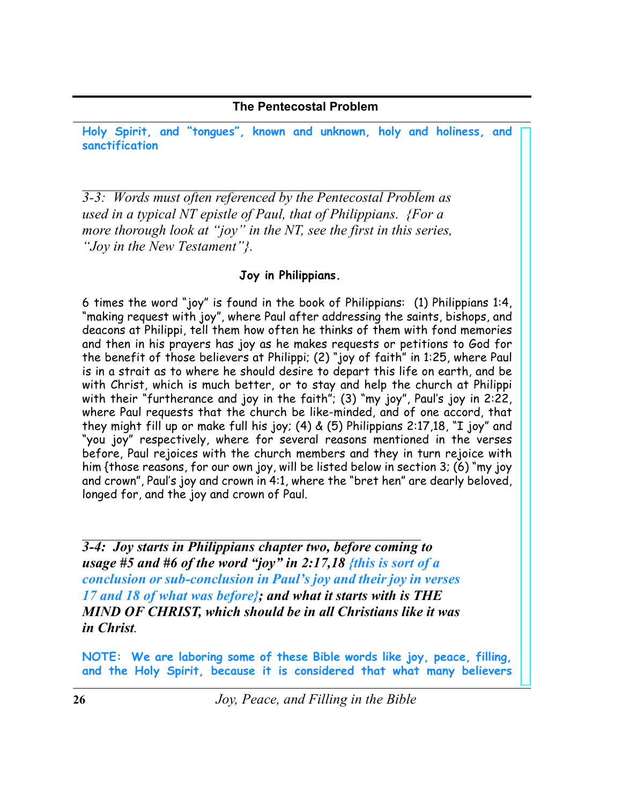Holy Spirit, and "tongues", known and unknown, holy and holiness, and sanctification

 $\overline{3-3}$ : Words must often referenced by the Pentecostal Problem as used in a typical NT epistle of Paul, that of Philippians. {For a more thorough look at "joy" in the NT, see the first in this series, "Jov in the New Testament"?.

# Joy in Philippians.

6 times the word "joy" is found in the book of Philippians: (1) Philippians 1:4. "making request with joy", where Paul after addressing the saints, bishops, and deacons at Philippi, tell them how often he thinks of them with fond memories and then in his prayers has joy as he makes requests or petitions to God for the benefit of those believers at Philippi; (2) "joy of faith" in 1:25, where Paul is in a strait as to where he should desire to depart this life on earth, and be with Christ, which is much better, or to stay and help the church at Philippi with their "furtherance and joy in the faith"; (3) "my joy", Paul's joy in 2:22, where Paul requests that the church be like-minded, and of one accord, that they might fill up or make full his joy; (4) & (5) Philippians 2:17,18, "I joy" and "you joy" respectively, where for several reasons mentioned in the verses before, Paul rejoices with the church members and they in turn rejoice with him {those reasons, for our own joy, will be listed below in section 3; (6) "my joy and crown", Paul's joy and crown in 4:1, where the "bret hen" are dearly beloved, longed for, and the joy and crown of Paul.

 $\overline{3-4}$ : Joy starts in Philippians chapter two, before coming to usage #5 and #6 of the word "joy" in 2:17,18 {this is sort of a conclusion or sub-conclusion in Paul's joy and their joy in verses 17 and 18 of what was before'; and what it starts with is THE MIND OF CHRIST, which should be in all Christians like it was in Christ

NOTE: We are laboring some of these Bible words like joy, peace, filling, and the Holy Spirit, because it is considered that what many believers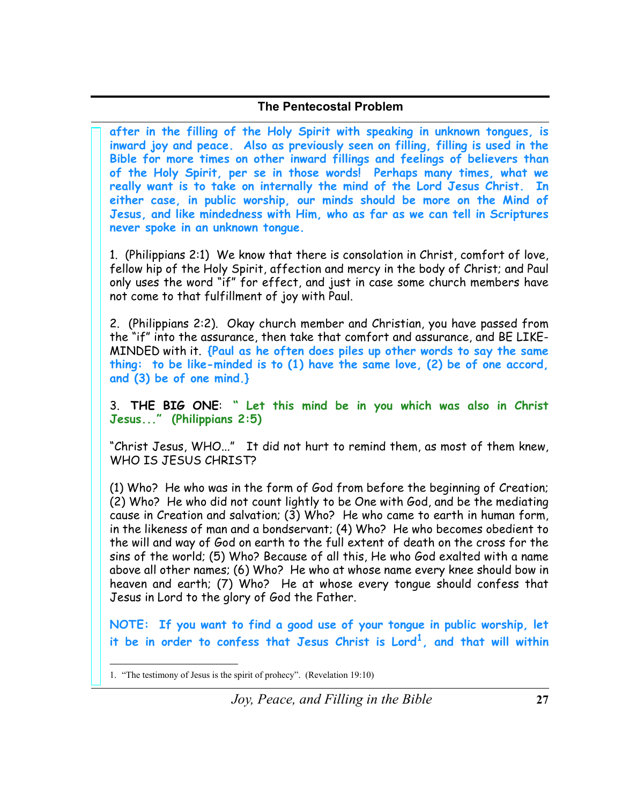after in the filling of the Holy Spirit with speaking in unknown tongues, is inward joy and peace. Also as previously seen on filling, filling is used in the Bible for more times on other inward fillings and feelings of believers than of the Holy Spirit, per se in those words! Perhaps many times, what we really want is to take on internally the mind of the Lord Jesus Christ. In either case, in public worship, our minds should be more on the Mind of Jesus, and like mindedness with Him, who as far as we can tell in Scriptures never spoke in an unknown tongue.

1. (Philippians 2:1) We know that there is consolation in Christ, comfort of love, fellow hip of the Holy Spirit, affection and mercy in the body of Christ; and Paul only uses the word "if" for effect, and just in case some church members have not come to that fulfillment of joy with Paul.

2. (Philippians 2:2). Okay church member and Christian, you have passed from the "if" into the assurance, then take that comfort and assurance, and BE LIKE-MINDED with it. {Paul as he often does piles up other words to say the same thing: to be like-minded is to (1) have the same love, (2) be of one accord, and  $(3)$  be of one mind.}

3. THE BIG ONE: " Let this mind be in you which was also in Christ Jesus..." (Philippians 2:5)

"Christ Jesus, WHO..." It did not hurt to remind them, as most of them knew, WHO IS JESUS CHRIST?

(1) Who? He who was in the form of God from before the beginning of Creation; (2) Who? He who did not count lightly to be One with God, and be the mediating cause in Creation and salvation; (3) Who? He who came to earth in human form. in the likeness of man and a bondservant; (4) Who? He who becomes obedient to the will and way of God on earth to the full extent of death on the cross for the sins of the world; (5) Who? Because of all this, He who God exalted with a name above all other names; (6) Who? He who at whose name every knee should bow in heaven and earth; (7) Who? He at whose every tongue should confess that Jesus in Lord to the glory of God the Father.

NOTE: If you want to find a good use of your tongue in public worship, let it be in order to confess that Jesus Christ is Lord<sup>1</sup>, and that will within

<sup>1. &</sup>quot;The testimony of Jesus is the spirit of prohecy". (Revelation 19:10)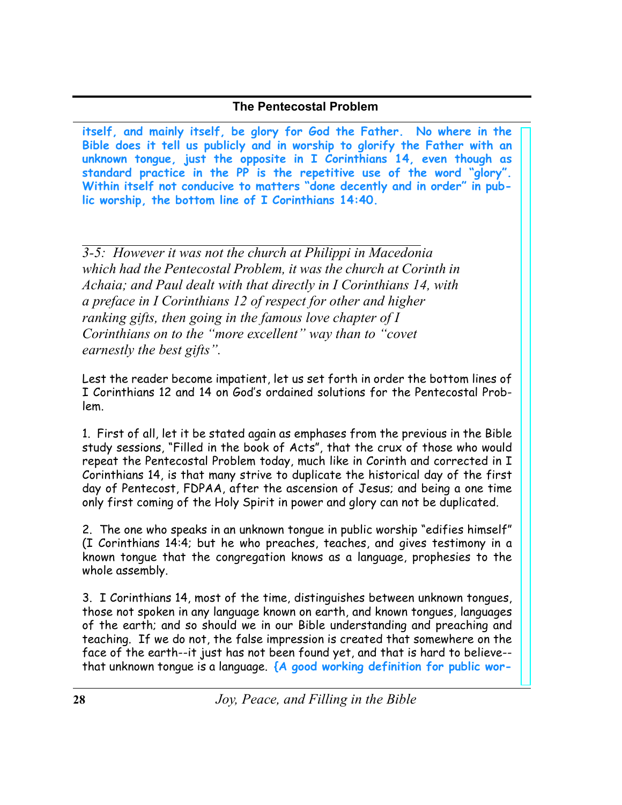itself, and mainly itself, be glory for God the Father. No where in the Bible does it tell us publicly and in worship to glorify the Father with an unknown tongue, just the opposite in I Corinthians 14, even though as standard practice in the PP is the repetitive use of the word "glory". Within itself not conducive to matters "done decently and in order" in pub**lic worship, the bottom line of I Corinthians 14:40.** 

 $\overline{3-5}$ : However it was not the church at Philippi in Macedonia which had the Pentecostal Problem, it was the church at Corinth in Achaia; and Paul dealt with that directly in I Corinthians 14, with *a preface in I Corinthians* 12 *of respect for other and higher k k n ni g ifts*, *then going in the famous love chapter of <i>I* Corinthians on to the "more excellent" way than to "covet" *earnestly the best gifts*".

Lest the reader become impatient, let us set forth in order the bottom lines of I Corinthians 12 and 14 on God's ordained solutions for the Pentecostal Problem.

1. First of all, let it be stated again as emphases from the previous in the Bible study sessions, "Filled in the book of Acts", that the crux of those who would repeat the Pentecostal Problem today, much like in Corinth and corrected in I Corinthians 14, is that many strive to duplicate the historical day of the first day of Pentecost, FDPAA, after the ascension of Jesus; and being a one time only first coming of the Holy Spirit in power and glory can not be duplicated.

2. The one who speaks in an unknown tongue in public worship "edifies himself" (I Corinthians 14:4; but he who preaches, teaches, and gives testimony in a known tongue that the congregation knows as a language, prophesies to the whole assembly.

3. I Corinthians 14, most of the time, distinguishes between unknown tongues, those not spoken in any language known on earth, and known tongues, languages of the earth; and so should we in our Bible understanding and preaching and teaching. If we do not, the false impression is created that somewhere on the face of the earth--it just has not been found yet, and that is hard to believe-that unknown tongue is a language. {A good working definition for public wor-